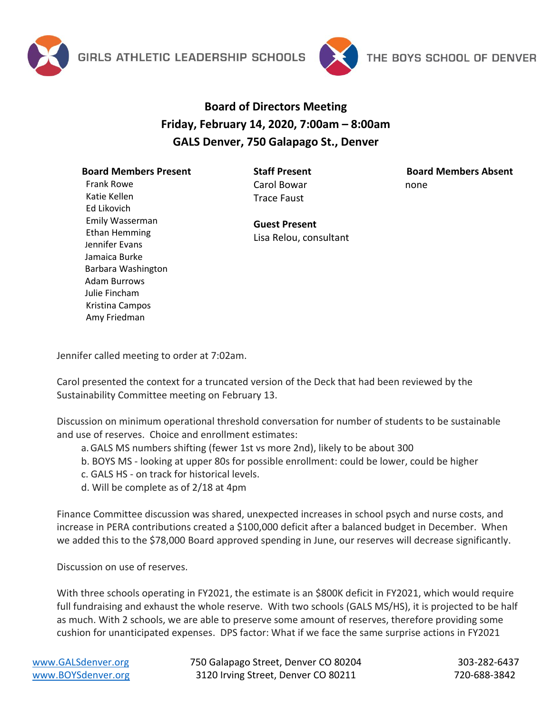



## **Board of Directors Meeting Friday, February 14, 2020, 7:00am – 8:00am GALS Denver, 750 Galapago St., Denver**

## **Board Members Present**

**Staff Present** Carol Bowar Trace Faust

**Board Members Absent** none

Frank Rowe Katie Kellen Ed Likovich Emily Wasserman Ethan Hemming Jennifer Evans Jamaica Burke Barbara Washington Adam Burrows Julie Fincham Kristina Campos Amy Friedman

**Guest Present** Lisa Relou, consultant

Jennifer called meeting to order at 7:02am.

Carol presented the context for a truncated version of the Deck that had been reviewed by the Sustainability Committee meeting on February 13.

Discussion on minimum operational threshold conversation for number of students to be sustainable and use of reserves. Choice and enrollment estimates:

- a.GALS MS numbers shifting (fewer 1st vs more 2nd), likely to be about 300
- b. BOYS MS looking at upper 80s for possible enrollment: could be lower, could be higher
- c. GALS HS on track for historical levels.
- d. Will be complete as of 2/18 at 4pm

Finance Committee discussion was shared, unexpected increases in school psych and nurse costs, and increase in PERA contributions created a \$100,000 deficit after a balanced budget in December. When we added this to the \$78,000 Board approved spending in June, our reserves will decrease significantly.

Discussion on use of reserves.

With three schools operating in FY2021, the estimate is an \$800K deficit in FY2021, which would require full fundraising and exhaust the whole reserve. With two schools (GALS MS/HS), it is projected to be half as much. With 2 schools, we are able to preserve some amount of reserves, therefore providing some cushion for unanticipated expenses. DPS factor: What if we face the same surprise actions in FY2021

[www.GALSdenver.org](http://www.galsdenver.org/) **750 Galapago Street, Denver CO 80204** 303-282-6437 [www.BOYSdenver.org](http://www.boysdenver.org/) 3120 Irving Street, Denver CO 80211 720-688-3842